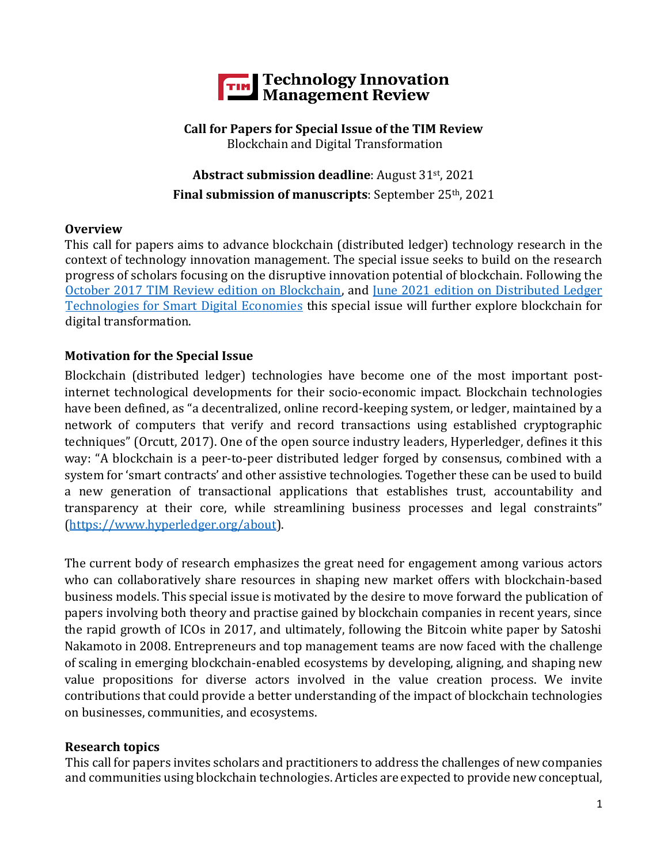

#### **Call for Papers for Special Issue of the TIM Review** Blockchain and Digital Transformation

# **Abstract submission deadline**: August 31st, 2021 **Final submission of manuscripts**: September 25th, 2021

### **Overview**

This call for papers aims to advance blockchain (distributed ledger) technology research in the context of technology innovation management. The special issue seeks to build on the research progress of scholars focusing on the disruptive innovation potential of blockchain. Following the [October 2017 TIM Review edition on Blockchain,](https://timreview.ca/issue/2017/october) and [June 2021 edition on Distributed Ledger](https://timreview.ca/issue/1443)  [Technologies for Smart Digital Economies](https://timreview.ca/issue/1443) this special issue will further explore blockchain for digital transformation.

### **Motivation for the Special Issue**

Blockchain (distributed ledger) technologies have become one of the most important postinternet technological developments for their socio-economic impact. Blockchain technologies have been defined, as "a decentralized, online record-keeping system, or ledger, maintained by a network of computers that verify and record transactions using established cryptographic techniques" (Orcutt, 2017). One of the open source industry leaders, Hyperledger, defines it this way: "A blockchain is a peer-to-peer distributed ledger forged by consensus, combined with a system for 'smart contracts' and other assistive technologies. Together these can be used to build a new generation of transactional applications that establishes trust, accountability and transparency at their core, while streamlining business processes and legal constraints" [\(https://www.hyperledger.org/about\)](https://www.hyperledger.org/about).

The current body of research emphasizes the great need for engagement among various actors who can collaboratively share resources in shaping new market offers with blockchain-based business models. This special issue is motivated by the desire to move forward the publication of papers involving both theory and practise gained by blockchain companies in recent years, since the rapid growth of ICOs in 2017, and ultimately, following the Bitcoin white paper by Satoshi Nakamoto in 2008. Entrepreneurs and top management teams are now faced with the challenge of scaling in emerging blockchain-enabled ecosystems by developing, aligning, and shaping new value propositions for diverse actors involved in the value creation process. We invite contributions that could provide a better understanding of the impact of blockchain technologies on businesses, communities, and ecosystems.

#### **Research topics**

This call for papers invites scholars and practitioners to address the challenges of new companies and communities using blockchain technologies. Articles are expected to provide new conceptual,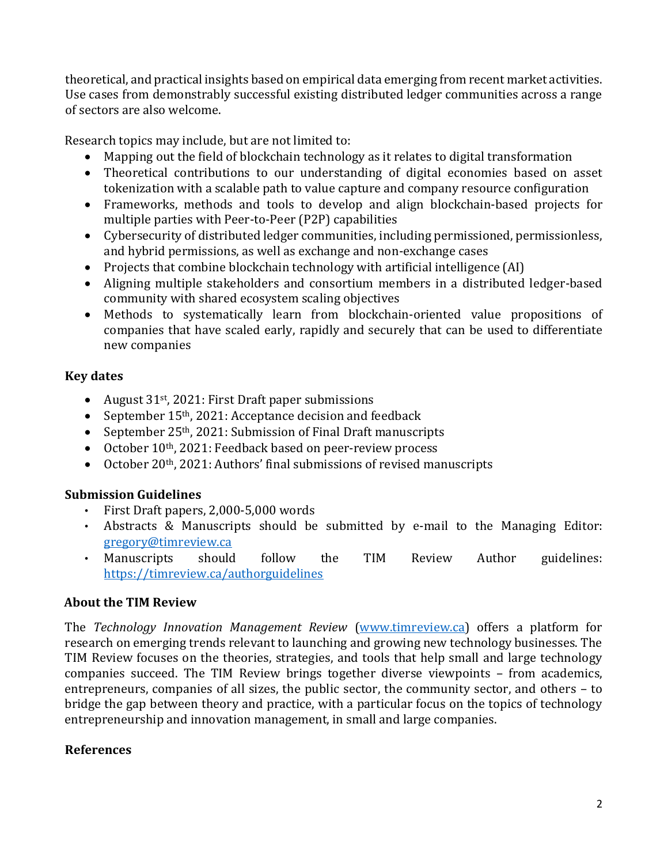theoretical, and practical insights based on empirical data emerging from recent market activities. Use cases from demonstrably successful existing distributed ledger communities across a range of sectors are also welcome.

Research topics may include, but are not limited to:

- Mapping out the field of blockchain technology as it relates to digital transformation
- Theoretical contributions to our understanding of digital economies based on asset tokenization with a scalable path to value capture and company resource configuration
- Frameworks, methods and tools to develop and align blockchain-based projects for multiple parties with Peer-to-Peer (P2P) capabilities
- Cybersecurity of distributed ledger communities, including permissioned, permissionless, and hybrid permissions, as well as exchange and non-exchange cases
- Projects that combine blockchain technology with artificial intelligence (AI)
- Aligning multiple stakeholders and consortium members in a distributed ledger-based community with shared ecosystem scaling objectives
- Methods to systematically learn from blockchain-oriented value propositions of companies that have scaled early, rapidly and securely that can be used to differentiate new companies

## **Key dates**

- August 31<sup>st</sup>, 2021: First Draft paper submissions
- September 15<sup>th</sup>, 2021: Acceptance decision and feedback
- September 25<sup>th</sup>, 2021: Submission of Final Draft manuscripts
- October 10<sup>th</sup>, 2021: Feedback based on peer-review process
- October 20<sup>th</sup>, 2021: Authors' final submissions of revised manuscripts

## **Submission Guidelines**

- First Draft papers, 2,000-5,000 words
- Abstracts & Manuscripts should be submitted by e-mail to the Managing Editor: [gregory@timreview.ca](mailto:gregory@timreview.ca)
- Manuscripts should follow the TIM Review Author guidelines: <https://timreview.ca/authorguidelines>

## **About the TIM Review**

The *Technology Innovation Management Review* [\(www.timreview.ca\)](http://www.timreview.ca/) offers a platform for research on emerging trends relevant to launching and growing new technology businesses. The TIM Review focuses on the theories, strategies, and tools that help small and large technology companies succeed. The TIM Review brings together diverse viewpoints – from academics, entrepreneurs, companies of all sizes, the public sector, the community sector, and others – to bridge the gap between theory and practice, with a particular focus on the topics of technology entrepreneurship and innovation management, in small and large companies.

## **References**